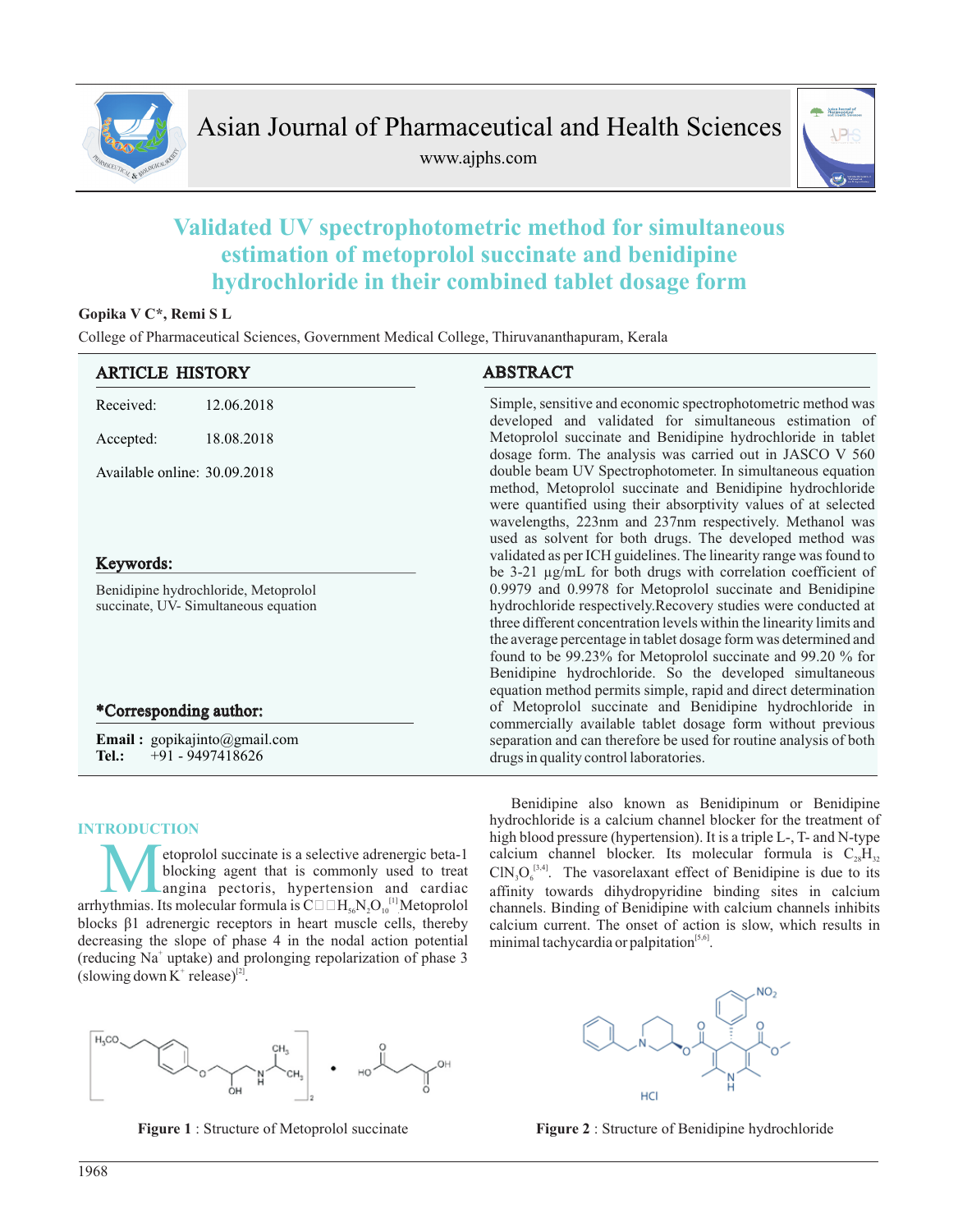

www.ajphs.com



# **Validated UV spectrophotometric method for simultaneous estimation of metoprolol succinate and benidipine hydrochloride in their combined tablet dosage form**

# **Gopika V C\*, Remi S L**

College of Pharmaceutical Sciences, Government Medical College, Thiruvananthapuram, Kerala

| <b>ARTICLE HISTORY</b>       |                                                                             | <b>ABSTRACT</b>                                                                                                                                                                                                                                                                                                                                                                                                                                                   |  |  |
|------------------------------|-----------------------------------------------------------------------------|-------------------------------------------------------------------------------------------------------------------------------------------------------------------------------------------------------------------------------------------------------------------------------------------------------------------------------------------------------------------------------------------------------------------------------------------------------------------|--|--|
| Received:                    | 12.06.2018                                                                  | Simple, sensitive and economic spectrophotometric method was<br>developed and validated for simultaneous estimation of                                                                                                                                                                                                                                                                                                                                            |  |  |
| Accepted:                    | 18.08.2018                                                                  | Metoprolol succinate and Benidipine hydrochloride in tablet<br>dosage form. The analysis was carried out in JASCO V 560                                                                                                                                                                                                                                                                                                                                           |  |  |
| Available online: 30.09.2018 |                                                                             | double beam UV Spectrophotometer. In simultaneous equation<br>method, Metoprolol succinate and Benidipine hydrochloride<br>were quantified using their absorptivity values of at selected<br>wavelengths, 223nm and 237nm respectively. Methanol was<br>used as solvent for both drugs. The developed method was                                                                                                                                                  |  |  |
| Keywords:                    |                                                                             | validated as per ICH guidelines. The linearity range was found to<br>be 3-21 µg/mL for both drugs with correlation coefficient of                                                                                                                                                                                                                                                                                                                                 |  |  |
|                              | Benidipine hydrochloride, Metoprolol<br>succinate, UV-Simultaneous equation | 0.9979 and 0.9978 for Metoprolol succinate and Benidipine<br>hydrochloride respectively.Recovery studies were conducted at<br>three different concentration levels within the linearity limits and<br>the average percentage in tablet dosage form was determined and<br>found to be 99.23% for Metoprolol succinate and 99.20 % for<br>Benidipine hydrochloride. So the developed simultaneous<br>equation method permits simple, rapid and direct determination |  |  |
| *Corresponding author:       |                                                                             | of Metoprolol succinate and Benidipine hydrochloride in                                                                                                                                                                                                                                                                                                                                                                                                           |  |  |
| Tel.:                        | <b>Email</b> : $gopikajinto@gmail.com$<br>$+91 - 9497418626$                | commercially available tablet dosage form without previous<br>separation and can therefore be used for routine analysis of both<br>drugs in quality control laboratories.                                                                                                                                                                                                                                                                                         |  |  |

# **INTRODUCTION**

etoprolol succinate is a selective adrenergic beta-1 blocking agent that is commonly used to treat angina pectoris, hypertension and cardiac blocks β1 adrenergic receptors in heart muscle cells, thereby decreasing the slope of phase 4 in the nodal action potential (reducing Na<sup>+</sup> uptake) and prolonging repolarization of phase 3 (slowing down  $K^+$  release)<sup>[2]</sup>.



Benidipine also known as Benidipinum or Benidipine





**Figure 1** : Structure of Metoprolol succinate **Figure 2** : Structure of Benidipine hydrochloride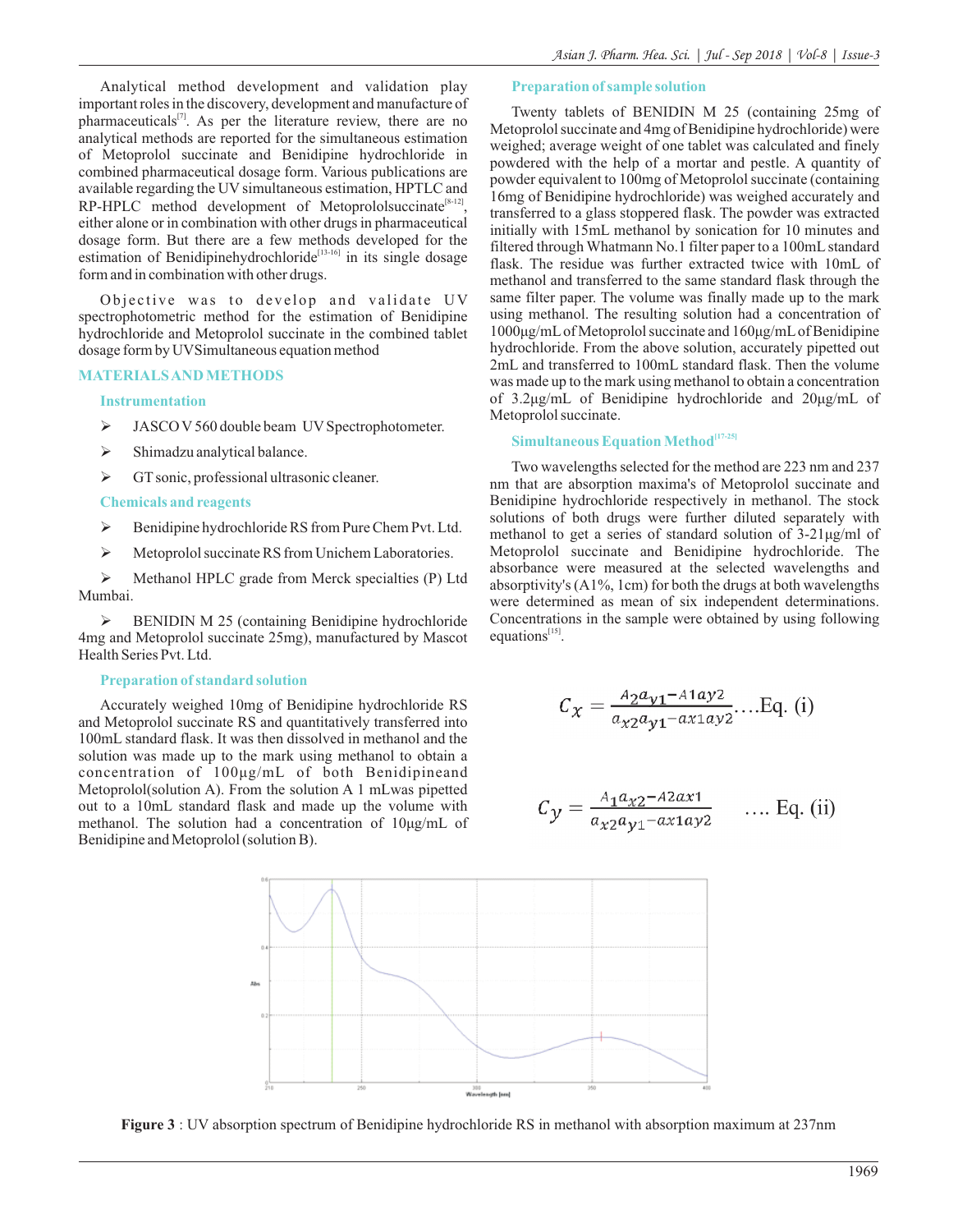Analytical method development and validation play important roles in the discovery, development and manufacture of pharmaceuticals $[7]$ . As per the literature review, there are no analytical methods are reported for the simultaneous estimation of Metoprolol succinate and Benidipine hydrochloride in combined pharmaceutical dosage form. Various publications are available regarding the UV simultaneous estimation, HPTLC and  $RP$ -HPLC method development of Metoprololsuccinate<sup>[8-12]</sup>, either alone or in combination with other drugs in pharmaceutical dosage form. But there are a few methods developed for the estimation of Benidipinehydrochloride<sup>[13-16]</sup> in its single dosage form and in combination with other drugs.

Objective was to develop and validate UV spectrophotometric method for the estimation of Benidipine hydrochloride and Metoprolol succinate in the combined tablet dosage form by UVSimultaneous equation method

#### **MATERIALS AND METHODS**

#### **Instrumentation**

- > JASCO V 560 double beam UV Spectrophotometer.
- $\triangleright$  Shimadzu analytical balance.
- $\triangleright$  GT sonic, professional ultrasonic cleaner.

#### **Chemicals and reagents**

- $\triangleright$  Benidipine hydrochloride RS from Pure Chem Pvt. Ltd.
- $\triangleright$  Metoprolol succinate RS from Unichem Laboratories.

 Methanol HPLC grade from Merck specialties (P) Ltd Mumbai.

 BENIDIN M 25 (containing Benidipine hydrochloride 4mg and Metoprolol succinate 25mg), manufactured by Mascot Health Series Pvt. Ltd.

#### **Preparation of standard solution**

Accurately weighed 10mg of Benidipine hydrochloride RS and Metoprolol succinate RS and quantitatively transferred into 100mL standard flask. It was then dissolved in methanol and the solution was made up to the mark using methanol to obtain a concentration of 100μg/mL of both Benidipineand Metoprolol(solution A). From the solution A 1 mLwas pipetted out to a 10mL standard flask and made up the volume with methanol. The solution had a concentration of 10μg/mL of Benidipine and Metoprolol (solution B).

#### **Preparation of sample solution**

Twenty tablets of BENIDIN M 25 (containing 25mg of Metoprolol succinate and 4mg of Benidipine hydrochloride) were weighed; average weight of one tablet was calculated and finely powdered with the help of a mortar and pestle. A quantity of powder equivalent to 100mg of Metoprolol succinate (containing 16mg of Benidipine hydrochloride) was weighed accurately and transferred to a glass stoppered flask. The powder was extracted initially with 15mL methanol by sonication for 10 minutes and filtered through Whatmann No.1 filter paper to a 100mL standard flask. The residue was further extracted twice with 10mL of methanol and transferred to the same standard flask through the same filter paper. The volume was finally made up to the mark using methanol. The resulting solution had a concentration of 1000μg/mLof Metoprolol succinate and 160μg/mLof Benidipine hydrochloride. From the above solution, accurately pipetted out 2mL and transferred to 100mL standard flask. Then the volume was made up to the mark using methanol to obtain a concentration of 3.2μg/mL of Benidipine hydrochloride and 20μg/mL of Metoprolol succinate.

# **[17-25] Simultaneous Equation Method**

Two wavelengths selected for the method are 223 nm and 237 nm that are absorption maxima's of Metoprolol succinate and Benidipine hydrochloride respectively in methanol. The stock solutions of both drugs were further diluted separately with methanol to get a series of standard solution of 3-21μg/ml of Metoprolol succinate and Benidipine hydrochloride. The absorbance were measured at the selected wavelengths and absorptivity's (A1%, 1cm) for both the drugs at both wavelengths were determined as mean of six independent determinations. Concentrations in the sample were obtained by using following equations $^{[15]}$ .

$$
C_{\chi} = \frac{A_2 a_{\nu 1} - A_1 a_{\nu 2}}{a_{\nu 2} a_{\nu 1} - a_{\nu 1} a_{\nu 2}} \dots \text{Eq. (i)}
$$

$$
C_{y} = \frac{A_{1}a_{x2} - A_{2}ax_{1}}{a_{x2}a_{y1} - ax_{1}ay_{2}} \qquad \dots \text{ Eq. (ii)}
$$



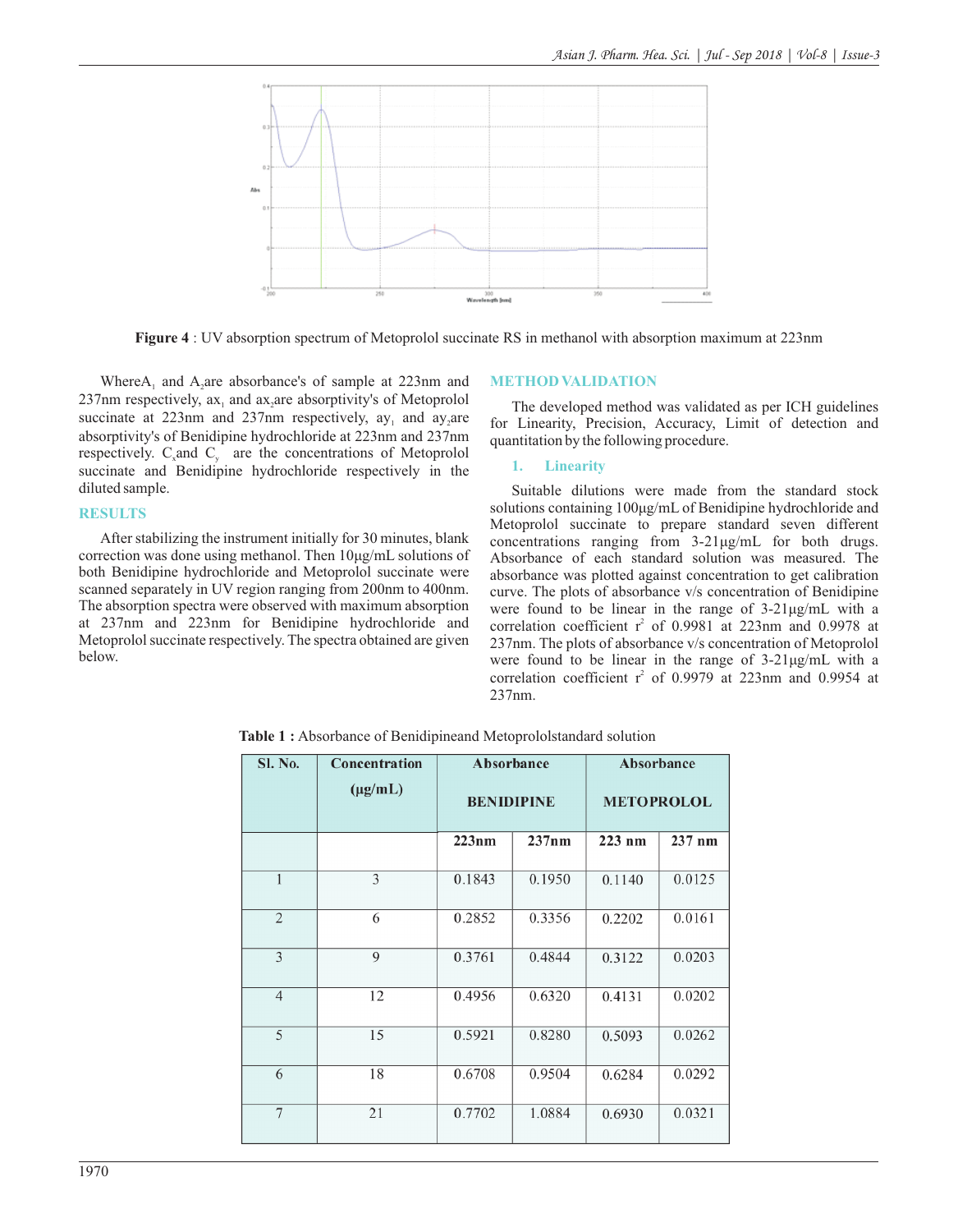

**Figure 4** : UV absorption spectrum of Metoprolol succinate RS in methanol with absorption maximum at 223nm

Where $A_1$  and  $A_2$  are absorbance's of sample at 223nm and 237nm respectively,  $ax_1$  and  $ax_2$  are absorptivity's of Metoprolol succinate at  $223$ nm and  $237$ nm respectively, ay, and ay, are absorptivity's of Benidipine hydrochloride at 223nm and 237nm respectively.  $C_x$  and  $C_y$  are the concentrations of Metoprolol succinate and Benidipine hydrochloride respectively in the diluted sample.

#### **RESULTS**

After stabilizing the instrument initially for 30 minutes, blank correction was done using methanol. Then 10μg/mL solutions of both Benidipine hydrochloride and Metoprolol succinate were scanned separately in UV region ranging from 200nm to 400nm. The absorption spectra were observed with maximum absorption at 237nm and 223nm for Benidipine hydrochloride and Metoprolol succinate respectively. The spectra obtained are given below.

## **METHOD VALIDATION**

The developed method was validated as per ICH guidelines for Linearity, Precision, Accuracy, Limit of detection and quantitation by the following procedure.

#### **1. Linearity**

Suitable dilutions were made from the standard stock solutions containing 100μg/mL of Benidipine hydrochloride and Metoprolol succinate to prepare standard seven different concentrations ranging from 3-21μg/mL for both drugs. Absorbance of each standard solution was measured. The absorbance was plotted against concentration to get calibration curve. The plots of absorbance v/s concentration of Benidipine were found to be linear in the range of 3-21μg/mL with a correlation coefficient  $r^2$  of 0.9981 at 223nm and 0.9978 at 237nm. The plots of absorbance v/s concentration of Metoprolol were found to be linear in the range of 3-21μg/mL with a correlation coefficient  $r^2$  of 0.9979 at 223nm and 0.9954 at 237nm.

**Table 1 :** Absorbance of Benidipineand Metoprololstandard solution

| <b>Sl. No.</b> | Concentration | Absorbance        |        | Absorbance        |          |  |
|----------------|---------------|-------------------|--------|-------------------|----------|--|
|                | $(\mu g/mL)$  | <b>BENIDIPINE</b> |        | <b>METOPROLOL</b> |          |  |
|                |               | 223nm             | 237nm  | $223$ nm          | $237$ nm |  |
| $\mathbf{1}$   | 3             | 0.1843            | 0.1950 | 0.1140            | 0.0125   |  |
| 2              | 6             | 0.2852            | 0.3356 | 0.2202            | 0.0161   |  |
| 3              | $\mathbf Q$   | 0.3761            | 0.4844 | 0.3122            | 0.0203   |  |
| $\overline{4}$ | 12            | 0.4956            | 0.6320 | 0.4131            | 0.0202   |  |
| 5              | 15            | 0.5921            | 0.8280 | 0.5093            | 0.0262   |  |
| 6              | 18            | 0.6708            | 0.9504 | 0.6284            | 0.0292   |  |
| $\overline{7}$ | 21            | 0.7702            | 1.0884 | 0.6930            | 0.0321   |  |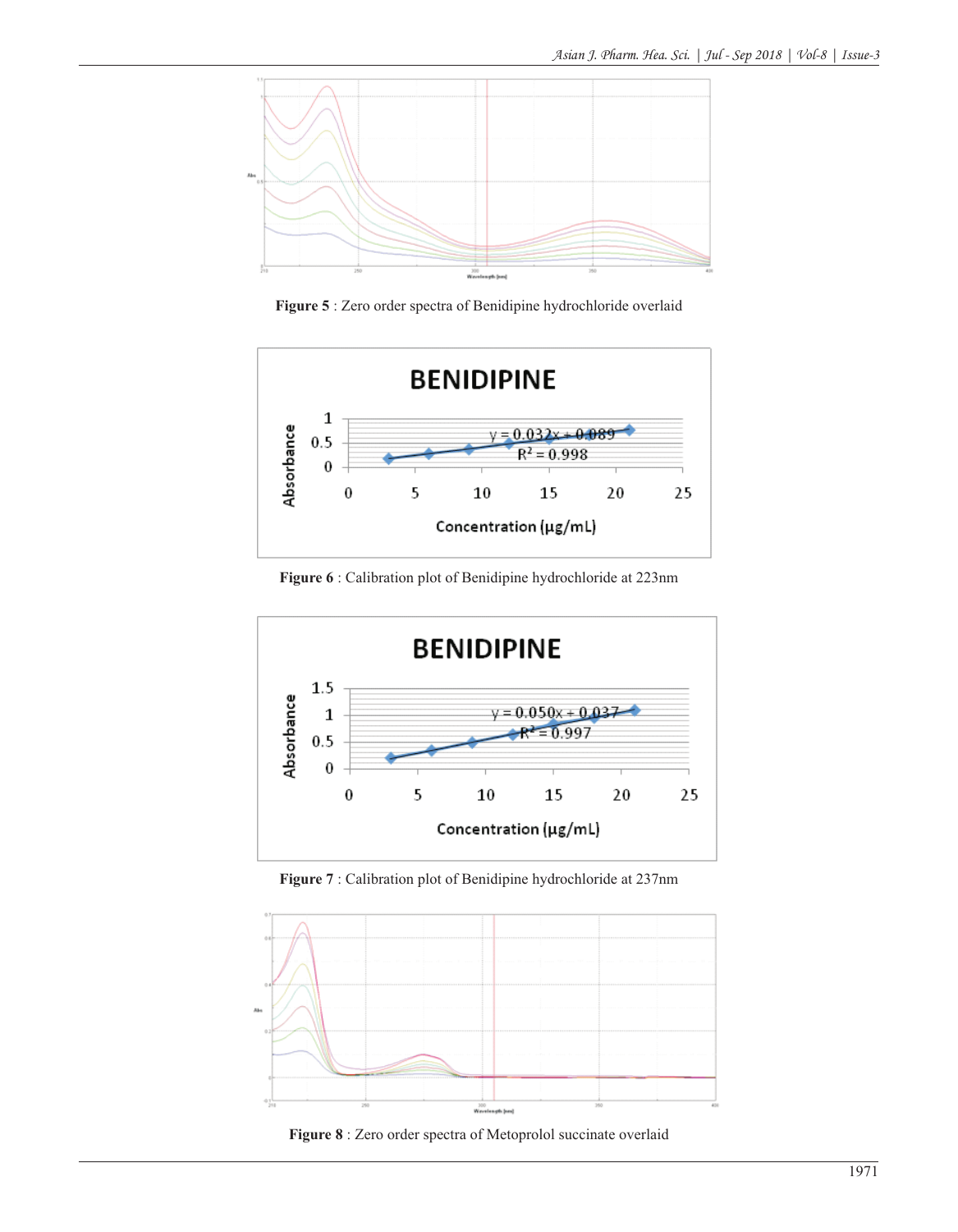

**Figure 5** : Zero order spectra of Benidipine hydrochloride overlaid



**Figure 6** : Calibration plot of Benidipine hydrochloride at 223nm



**Figure 7** : Calibration plot of Benidipine hydrochloride at 237nm



**Figure 8** : Zero order spectra of Metoprolol succinate overlaid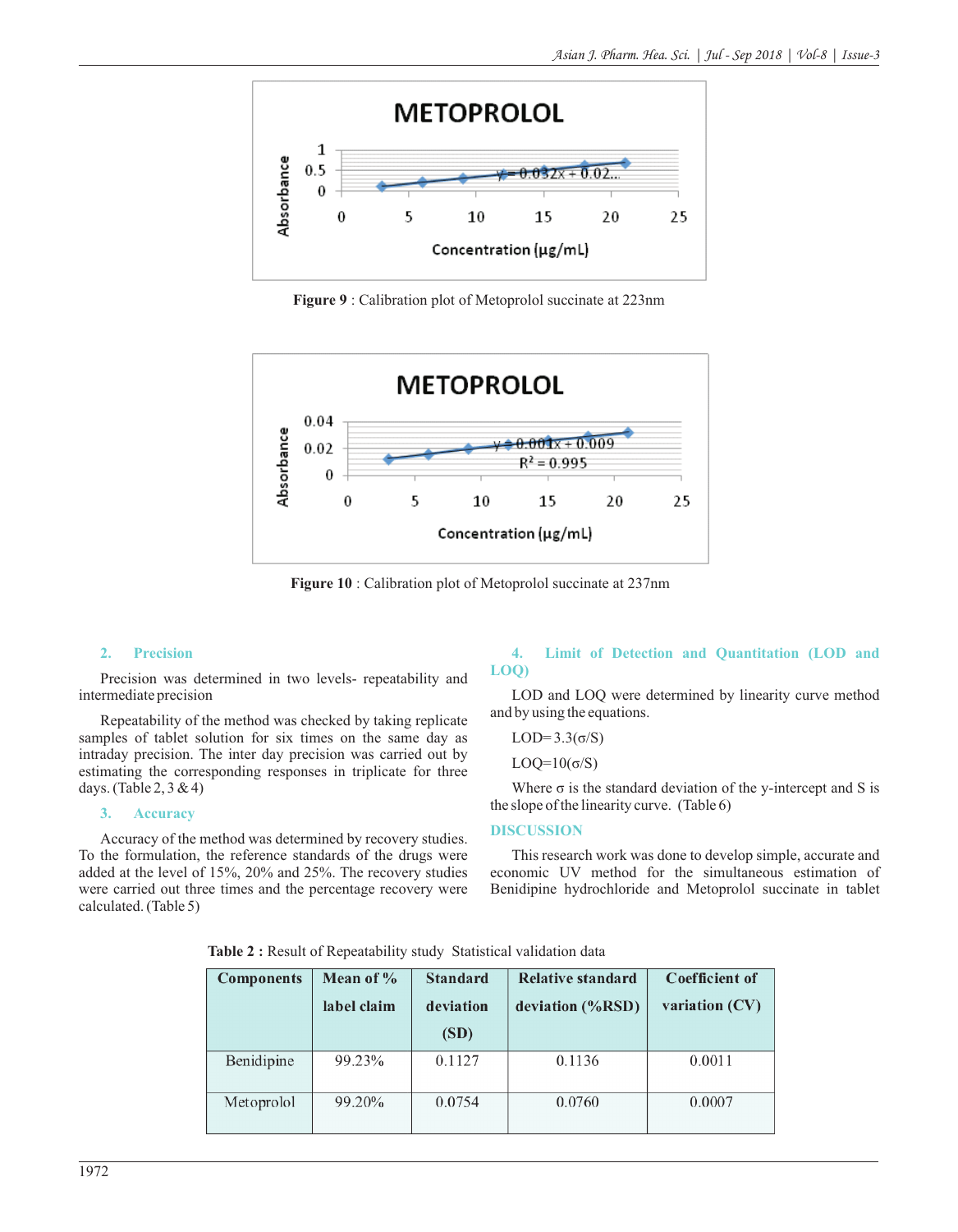

**Figure 9** : Calibration plot of Metoprolol succinate at 223nm



**Figure 10** : Calibration plot of Metoprolol succinate at 237nm

## **2. Precision**

Precision was determined in two levels- repeatability and intermediate precision

Repeatability of the method was checked by taking replicate samples of tablet solution for six times on the same day as intraday precision. The inter day precision was carried out by estimating the corresponding responses in triplicate for three days. (Table 2, 3 & 4)

# **3. Accuracy**

Accuracy of the method was determined by recovery studies. To the formulation, the reference standards of the drugs were added at the level of 15%, 20% and 25%. The recovery studies were carried out three times and the percentage recovery were calculated. (Table 5)

## **4. Limit of Detection and Quantitation (LOD and LOQ)**

LOD and LOQ were determined by linearity curve method and by using the equations.

LOD= $3.3(\sigma/S)$ 

LOQ= $10(\sigma/S)$ 

Where  $\sigma$  is the standard deviation of the y-intercept and S is the slope of the linearity curve. (Table 6)

#### **DISCUSSION**

This research work was done to develop simple, accurate and economic UV method for the simultaneous estimation of Benidipine hydrochloride and Metoprolol succinate in tablet

| <b>Components</b> | Mean of $\%$     | <b>Standard</b> | <b>Relative standard</b> | Coefficient of |  |
|-------------------|------------------|-----------------|--------------------------|----------------|--|
|                   | label claim      | deviation       | deviation (%RSD)         | variation (CV) |  |
|                   |                  | (SD)            |                          |                |  |
| Benidipine        | 99.23%           | 0.1127          | 0.1136                   | 0.0011         |  |
| Metoprolol        | 99.20%<br>0.0754 |                 | 0.0760                   | 0.0007         |  |

**Table 2 :** Result of Repeatability study Statistical validation data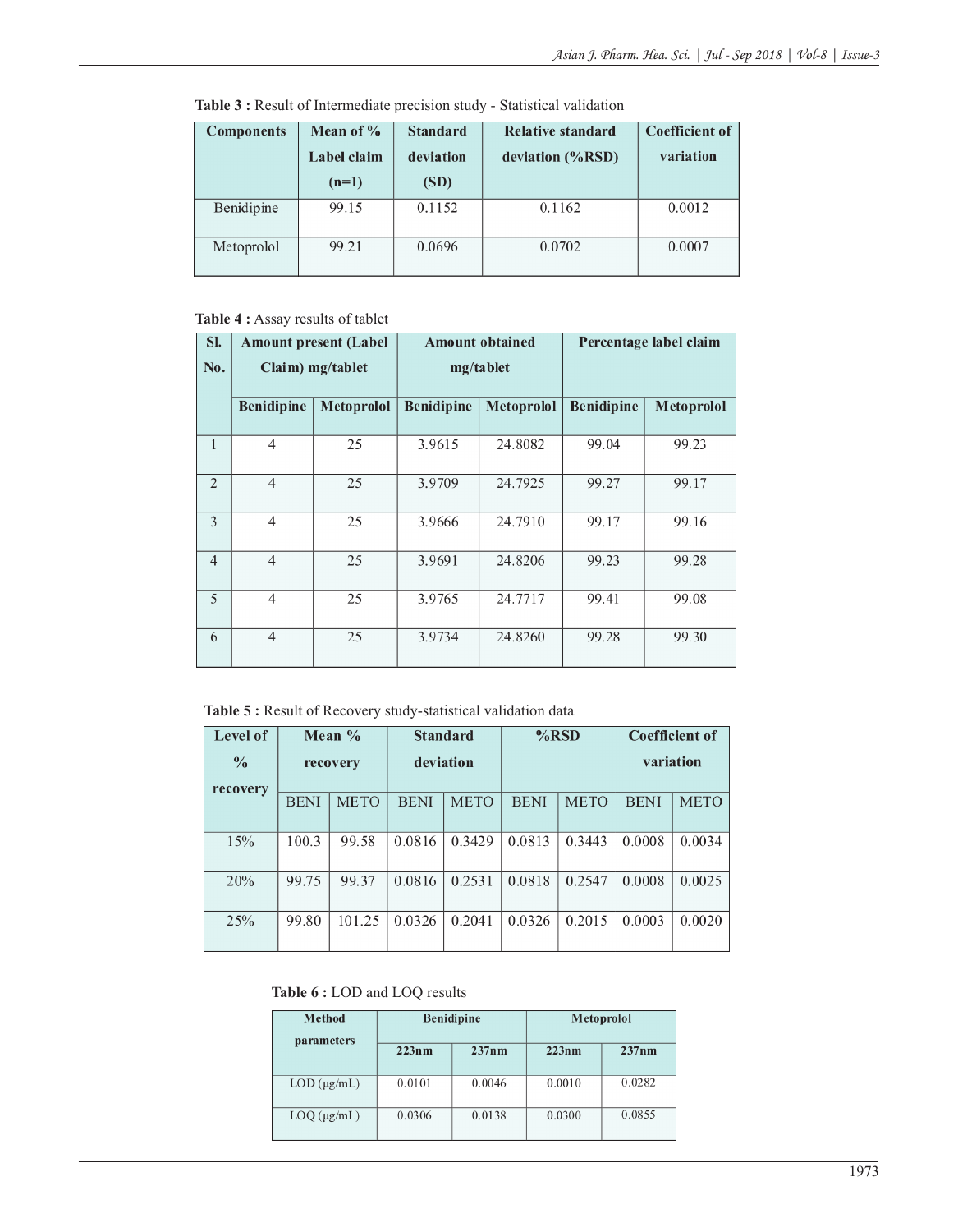| <b>Components</b> | Mean of $\%$<br>Label claim<br>$(n=1)$ | <b>Standard</b><br>deviation<br>(SD) | Relative standard<br>deviation $(\%RSD)$ | <b>Coefficient of</b><br>variation |
|-------------------|----------------------------------------|--------------------------------------|------------------------------------------|------------------------------------|
| Benidipine        | 99.15                                  | 0.1152                               | 0.1162                                   | 0.0012                             |
| Metoprolol        | 99.21                                  | 0.0696                               | 0.0702                                   | 0.0007                             |

**Table 3 :** Result of Intermediate precision study - Statistical validation

# **Table 4 :** Assay results of tablet

| SI.            | <b>Amount present (Label</b> |                   |                   | <b>Amount obtained</b> | Percentage label claim |                   |
|----------------|------------------------------|-------------------|-------------------|------------------------|------------------------|-------------------|
| No.            | Claim) mg/tablet             |                   |                   | mg/tablet              |                        |                   |
|                | <b>Benidipine</b>            | <b>Metoprolol</b> | <b>Benidipine</b> | <b>Metoprolol</b>      | <b>Benidipine</b>      | <b>Metoprolol</b> |
| $\mathbf{1}$   | $\overline{4}$               | 25                | 3.9615            | 24.8082                | 99.04                  | 99.23             |
| $\overline{2}$ | $\overline{4}$               | 25                | 3.9709            | 24.7925                | 99.27                  | 99.17             |
| 3              | $\overline{4}$               | 25                | 3.9666            | 24.7910                | 99.17                  | 99.16             |
| $\overline{4}$ | $\overline{4}$               | 25                | 3.9691            | 24.8206                | 99.23                  | 99.28             |
| 5              | $\overline{4}$               | 25                | 3.9765            | 24.7717                | 99.41                  | 99.08             |
| 6              | $\overline{4}$               | 25                | 3.9734            | 24.8260                | 99.28                  | 99.30             |

**Table 5 :** Result of Recovery study-statistical validation data

| Level of                  |             | Mean $\%$   | <b>Standard</b> |             | $%$ RSD     |             | <b>Coefficient of</b> |             |
|---------------------------|-------------|-------------|-----------------|-------------|-------------|-------------|-----------------------|-------------|
| $\frac{0}{0}$<br>recovery | recovery    |             | deviation       |             |             |             | variation             |             |
|                           | <b>BENI</b> | <b>METO</b> | <b>BENI</b>     | <b>METO</b> | <b>BENI</b> | <b>METO</b> | <b>BENI</b>           | <b>METO</b> |
| 15%                       | 100.3       | 99.58       | 0.0816          | 0.3429      | 0.0813      | 0.3443      | 0.0008                | 0.0034      |
| 20%                       | 99.75       | 99.37       | 0.0816          | 0.2531      | 0.0818      | 0.2547      | 0.0008                | 0.0025      |
| 25%                       | 99.80       | 101.25      | 0.0326          | 0.2041      | 0.0326      | 0.2015      | 0.0003                | 0.0020      |

# **Table 6 :** LOD and LOQ results

| <b>Method</b><br>parameters |        | <b>Benidipine</b> | <b>Metoprolol</b> |        |  |
|-----------------------------|--------|-------------------|-------------------|--------|--|
|                             | 223nm  | 237nm             | 223nm             | 237nm  |  |
| $LOD$ ( $\mu$ g/mL)         | 0.0101 | 0.0046            | 0.0010            | 0.0282 |  |
| $LOQ$ ( $\mu$ g/mL)         | 0.0306 | 0.0138            | 0.0300            | 0.0855 |  |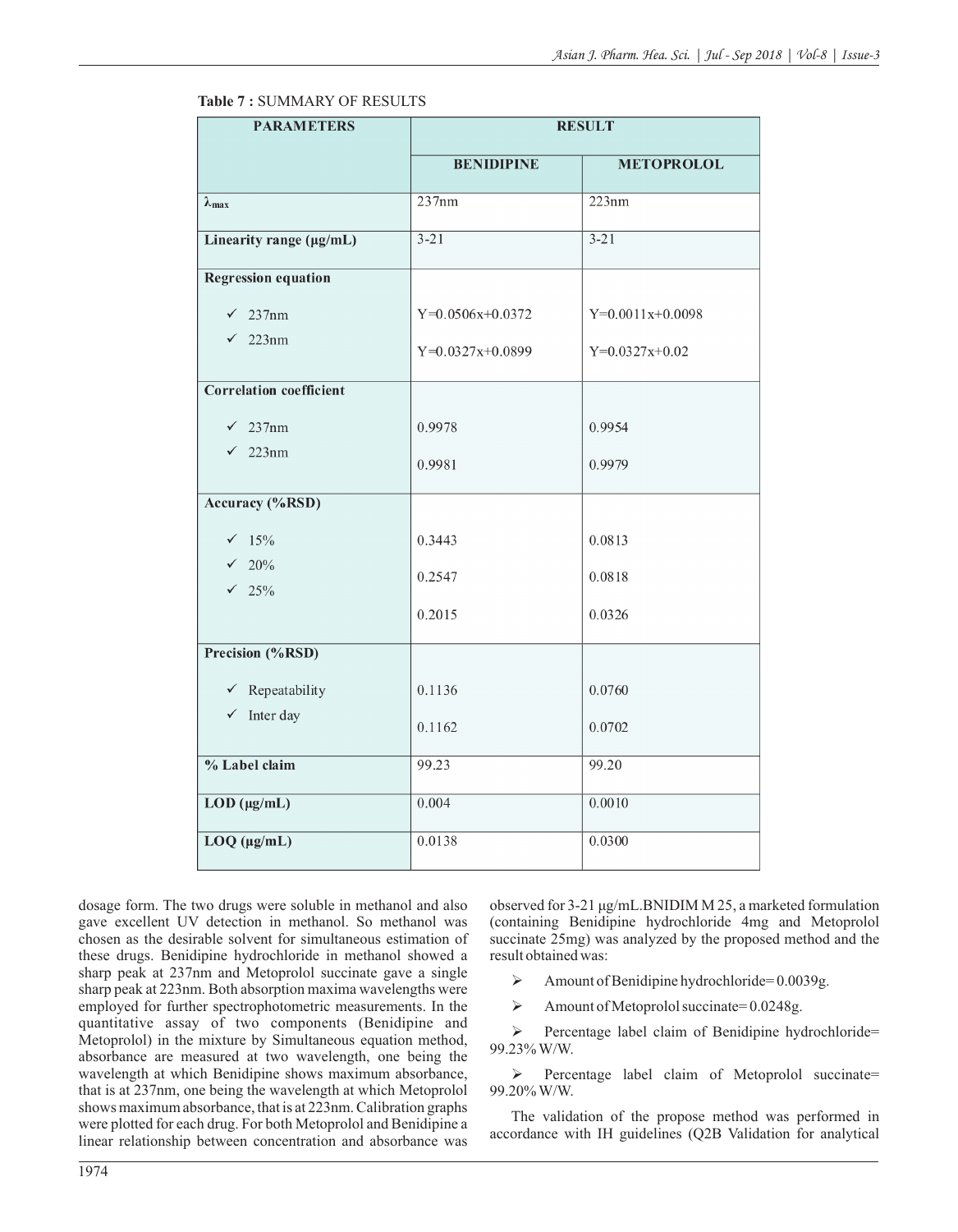| <b>PARAMETERS</b>              | <b>RESULT</b>      |                    |  |  |
|--------------------------------|--------------------|--------------------|--|--|
|                                | <b>BENIDIPINE</b>  | <b>METOPROLOL</b>  |  |  |
| $\lambda_{\max}$               | 237nm              | 223nm              |  |  |
| Linearity range (µg/mL)        | $3 - 21$           | $3 - 21$           |  |  |
| <b>Regression equation</b>     |                    |                    |  |  |
| 237nm<br>$\checkmark$          | $Y=0.0506x+0.0372$ | $Y=0.0011x+0.0098$ |  |  |
| $\checkmark$ 223nm             | $Y=0.0327x+0.0899$ | $Y=0.0327x+0.02$   |  |  |
| <b>Correlation coefficient</b> |                    |                    |  |  |
| $\sqrt{237}$ nm                | 0.9978             | 0.9954             |  |  |
| $\checkmark$ 223nm             | 0.9981             | 0.9979             |  |  |
| <b>Accuracy</b> (%RSD)         |                    |                    |  |  |
| $\sqrt{15\%}$                  | 0.3443             | 0.0813             |  |  |
| $\sqrt{20\%}$<br>$\sqrt{25\%}$ | 0.2547             | 0.0818             |  |  |
|                                | 0.2015             | 0.0326             |  |  |
| Precision (%RSD)               |                    |                    |  |  |
| $\checkmark$ Repeatability     | 0.1136             | 0.0760             |  |  |
| $\checkmark$ Inter day         | 0.1162             | 0.0702             |  |  |
| % Label claim                  | 99.23              | 99.20              |  |  |
| $LOD$ ( $\mu$ g/mL)            | 0.004              | 0.0010             |  |  |
| $LOQ$ ( $\mu$ g/mL)            | 0.0138             | 0.0300             |  |  |

## **Table 7 :** SUMMARY OF RESULTS

dosage form. The two drugs were soluble in methanol and also gave excellent UV detection in methanol. So methanol was chosen as the desirable solvent for simultaneous estimation of these drugs. Benidipine hydrochloride in methanol showed a sharp peak at 237nm and Metoprolol succinate gave a single sharp peak at 223nm. Both absorption maxima wavelengths were employed for further spectrophotometric measurements. In the quantitative assay of two components (Benidipine and Metoprolol) in the mixture by Simultaneous equation method, absorbance are measured at two wavelength, one being the wavelength at which Benidipine shows maximum absorbance, that is at 237nm, one being the wavelength at which Metoprolol shows maximum absorbance, that is at 223nm. Calibration graphs were plotted for each drug. For both Metoprolol and Benidipine a linear relationship between concentration and absorbance was

observed for 3-21 μg/mL.BNIDIM M 25, a marketed formulation (containing Benidipine hydrochloride 4mg and Metoprolol succinate 25mg) was analyzed by the proposed method and the result obtained was:

- $\blacktriangleright$  Amount of Benidipine hydrochloride= 0.0039g.
- $\blacktriangleright$  Amount of Metoprolol succinate= 0.0248g.

 $\triangleright$  Percentage label claim of Benidipine hydrochloride= 99.23% W/W.

 Percentage label claim of Metoprolol succinate= 99.20% W/W.

The validation of the propose method was performed in accordance with IH guidelines (Q2B Validation for analytical